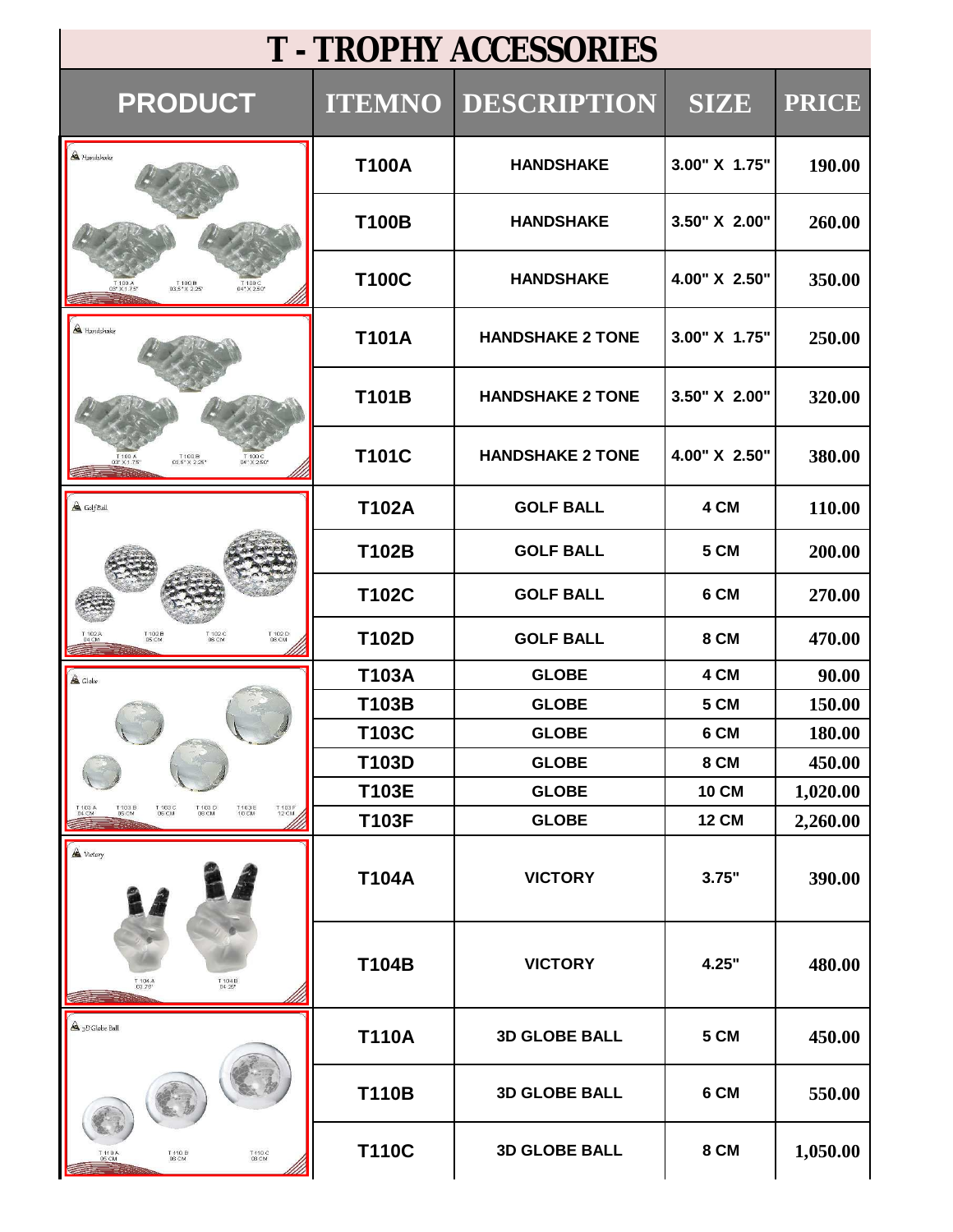| <b>T - TROPHY ACCESSORIES</b>                                                                                      |               |                         |               |              |  |
|--------------------------------------------------------------------------------------------------------------------|---------------|-------------------------|---------------|--------------|--|
| <b>PRODUCT</b>                                                                                                     | <b>ITEMNO</b> | <b>DESCRIPTION</b>      | <b>SIZE</b>   | <b>PRICE</b> |  |
| A Handshake                                                                                                        | <b>T100A</b>  | <b>HANDSHAKE</b>        | 3.00" X 1.75" | 190.00       |  |
|                                                                                                                    | <b>T100B</b>  | <b>HANDSHAKE</b>        | 3.50" X 2.00" | 260.00       |  |
| T 100 B<br>03.5" X 2.25"                                                                                           | <b>T100C</b>  | <b>HANDSHAKE</b>        | 4.00" X 2.50" | 350.00       |  |
| <b>A</b> Handshake                                                                                                 | <b>T101A</b>  | <b>HANDSHAKE 2 TONE</b> | 3.00" X 1.75" | 250.00       |  |
|                                                                                                                    | T101B         | <b>HANDSHAKE 2 TONE</b> | 3.50" X 2.00" | 320.00       |  |
| T 100 B<br>03.5" X 2.25"<br>T 100 C<br>04" X 2.50                                                                  | <b>T101C</b>  | <b>HANDSHAKE 2 TONE</b> | 4.00" X 2.50" | 380.00       |  |
| $\triangle$ GolfBall                                                                                               | <b>T102A</b>  | <b>GOLF BALL</b>        | 4 CM          | 110.00       |  |
|                                                                                                                    | T102B         | <b>GOLF BALL</b>        | 5 CM          | 200.00       |  |
|                                                                                                                    | T102C         | <b>GOLF BALL</b>        | 6 CM          | 270.00       |  |
| T 102 D<br>08 CM<br>T 102B<br>05 CM<br>T 102 C<br>06 CM                                                            | T102D         | <b>GOLF BALL</b>        | <b>8 CM</b>   | 470.00       |  |
| A Globe                                                                                                            | <b>T103A</b>  | <b>GLOBE</b>            | 4 CM          | 90.00        |  |
|                                                                                                                    | T103B         | <b>GLOBE</b>            | 5 CM          | 150.00       |  |
|                                                                                                                    | T103C         | <b>GLOBE</b>            | 6 CM          | 180.00       |  |
|                                                                                                                    | T103D         | <b>GLOBE</b>            | 8 CM          | 450.00       |  |
|                                                                                                                    | T103E         | <b>GLOBE</b>            | <b>10 CM</b>  | 1,020.00     |  |
| T 103 D<br>08 CM<br>T 103 F<br>12 CM<br>T 103 A<br>04 CM<br>T103B<br>05 CM<br>T 103 C<br>06 CM<br>T 103 E<br>10 CM | <b>T103F</b>  | <b>GLOBE</b>            | <b>12 CM</b>  | 2,260.00     |  |
| A Victory                                                                                                          | <b>T104A</b>  | <b>VICTORY</b>          | 3.75"         | 390.00       |  |
| T 104 A<br>03.75"<br>$7104B$<br>04.25"                                                                             | T104B         | <b>VICTORY</b>          | 4.25"         | 480.00       |  |
| <sup>4</sup> <sub>3</sub> D Globe Ball                                                                             | <b>T110A</b>  | <b>3D GLOBE BALL</b>    | 5 CM          | 450.00       |  |
|                                                                                                                    | <b>T110B</b>  | <b>3D GLOBE BALL</b>    | 6 CM          | 550.00       |  |
| T 110 C<br>08 CM<br>T 110 B<br>06 CM<br>T 11 0 A<br>05 CM                                                          | <b>T110C</b>  | <b>3D GLOBE BALL</b>    | 8 CM          | 1,050.00     |  |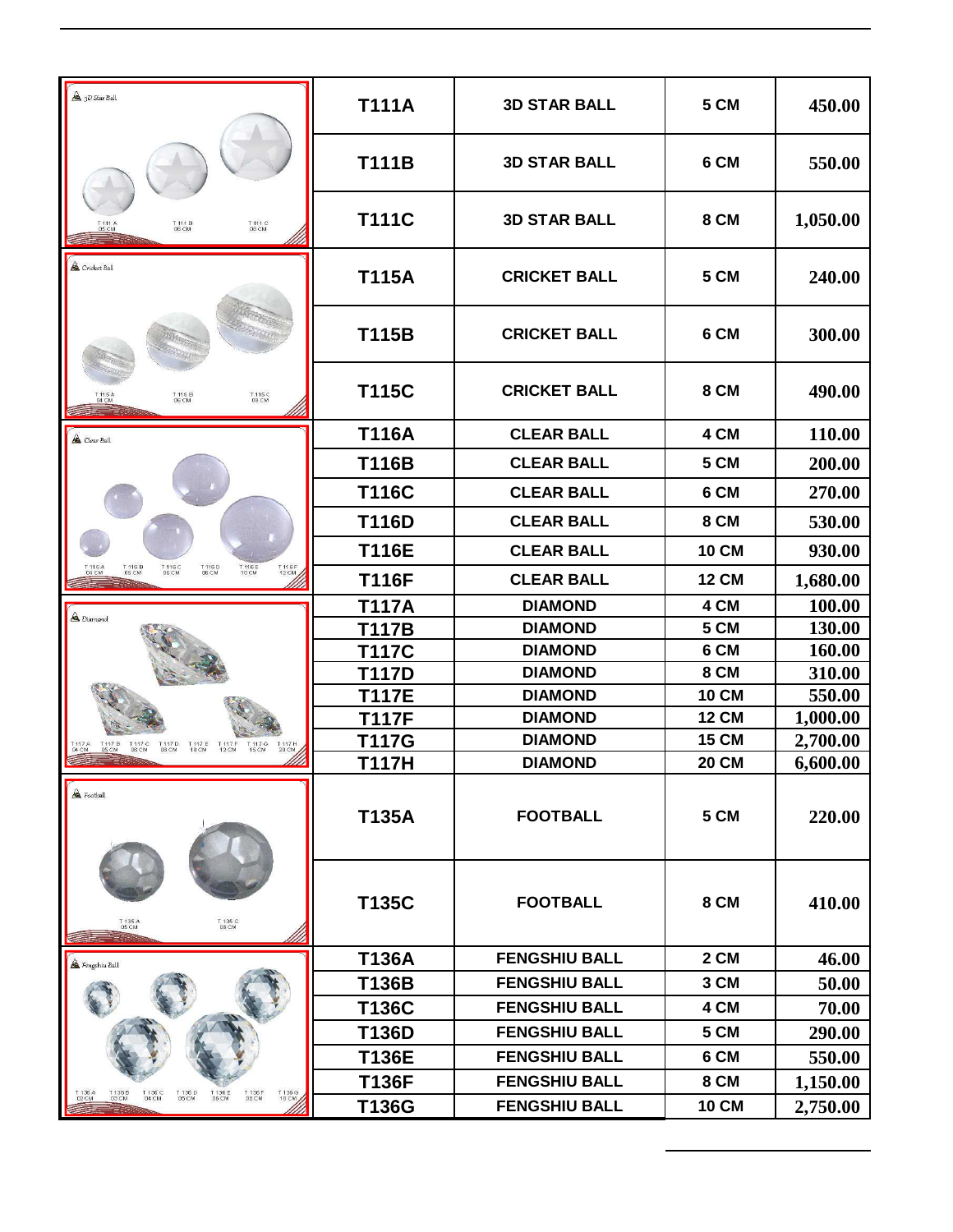| 3D Star Ball                                                                                                                            | <b>T111A</b> | <b>3D STAR BALL</b>  | 5 CM         | 450.00   |
|-----------------------------------------------------------------------------------------------------------------------------------------|--------------|----------------------|--------------|----------|
|                                                                                                                                         | <b>T111B</b> | <b>3D STAR BALL</b>  | 6 CM         | 550.00   |
| T 111 B<br>06 CM<br>T 111 C<br>08 CM<br>T 111 A<br>05 CM                                                                                | <b>T111C</b> | <b>3D STAR BALL</b>  | 8 CM         | 1,050.00 |
| <b>A</b> Cricket Ball                                                                                                                   | <b>T115A</b> | <b>CRICKET BALL</b>  | 5 CM         | 240.00   |
|                                                                                                                                         | <b>T115B</b> | <b>CRICKET BALL</b>  | 6 CM         | 300.00   |
| T 115 C<br>08 CM<br>T 115 B<br>.06 CM<br>T 115 A<br>04 CM                                                                               | <b>T115C</b> | <b>CRICKET BALL</b>  | 8 CM         | 490.00   |
| Clear Ball                                                                                                                              | <b>T116A</b> | <b>CLEAR BALL</b>    | 4 CM         | 110.00   |
|                                                                                                                                         | <b>T116B</b> | <b>CLEAR BALL</b>    | 5 CM         | 200.00   |
|                                                                                                                                         | <b>T116C</b> | <b>CLEAR BALL</b>    | 6 CM         | 270.00   |
|                                                                                                                                         | <b>T116D</b> | <b>CLEAR BALL</b>    | 8 CM         | 530.00   |
|                                                                                                                                         | <b>T116E</b> | <b>CLEAR BALL</b>    | <b>10 CM</b> | 930.00   |
| T 116F<br>T 116 B<br>05 CM<br>T 116 C<br>06 CM<br>T 116 D<br>08 CM<br>T 116 E<br>10 CM                                                  | <b>T116F</b> | <b>CLEAR BALL</b>    | <b>12 CM</b> | 1,680.00 |
|                                                                                                                                         | <b>T117A</b> | <b>DIAMOND</b>       | 4 CM         | 100.00   |
| $\triangle$ Diamond                                                                                                                     | <b>T117B</b> | <b>DIAMOND</b>       | 5 CM         | 130.00   |
|                                                                                                                                         | <b>T117C</b> | <b>DIAMOND</b>       | 6 CM         | 160.00   |
|                                                                                                                                         | <b>T117D</b> | <b>DIAMOND</b>       | 8 CM         | 310.00   |
|                                                                                                                                         | <b>T117E</b> | <b>DIAMOND</b>       | <b>10 CM</b> | 550.00   |
|                                                                                                                                         | <b>T117F</b> | <b>DIAMOND</b>       | <b>12 CM</b> | 1,000.00 |
| T 117 G<br>15 CM<br>T 117 H<br>20 CM<br>T 117 D<br>08 CM<br>T 117 E<br>10 CM<br>T 117 F<br>12 CM                                        | <b>T117G</b> | <b>DIAMOND</b>       | <b>15 CM</b> | 2,700.00 |
|                                                                                                                                         | T117H        | <b>DIAMOND</b>       | <b>20 CM</b> | 6,600.00 |
| <b>A</b> Football                                                                                                                       | <b>T135A</b> | <b>FOOTBALL</b>      | 5 CM         | 220.00   |
| T 135 C<br>08 CM<br>T 135 A<br>05 CM                                                                                                    | T135C        | <b>FOOTBALL</b>      | 8 CM         | 410.00   |
| $\triangle$ Fengshiu Ball                                                                                                               | <b>T136A</b> | <b>FENGSHIU BALL</b> | 2 CM         | 46.00    |
|                                                                                                                                         | T136B        | <b>FENGSHIU BALL</b> | 3 CM         | 50.00    |
|                                                                                                                                         | T136C        | <b>FENGSHIU BALL</b> | 4 CM         | 70.00    |
|                                                                                                                                         | T136D        | <b>FENGSHIU BALL</b> | 5 CM         | 290.00   |
|                                                                                                                                         | <b>T136E</b> | <b>FENGSHIU BALL</b> | 6 CM         | 550.00   |
|                                                                                                                                         | <b>T136F</b> | <b>FENGSHIU BALL</b> | 8 CM         | 1,150.00 |
| T 136B<br>03 CM<br>T 136 C<br>04 CM<br>T 136 D<br>05 CM<br>T 136 E<br>06 CM<br>T 136 G<br>10 CM<br>T 136 A<br>02 CM<br>T 136 F<br>08 CM | T136G        | <b>FENGSHIU BALL</b> | <b>10 CM</b> | 2,750.00 |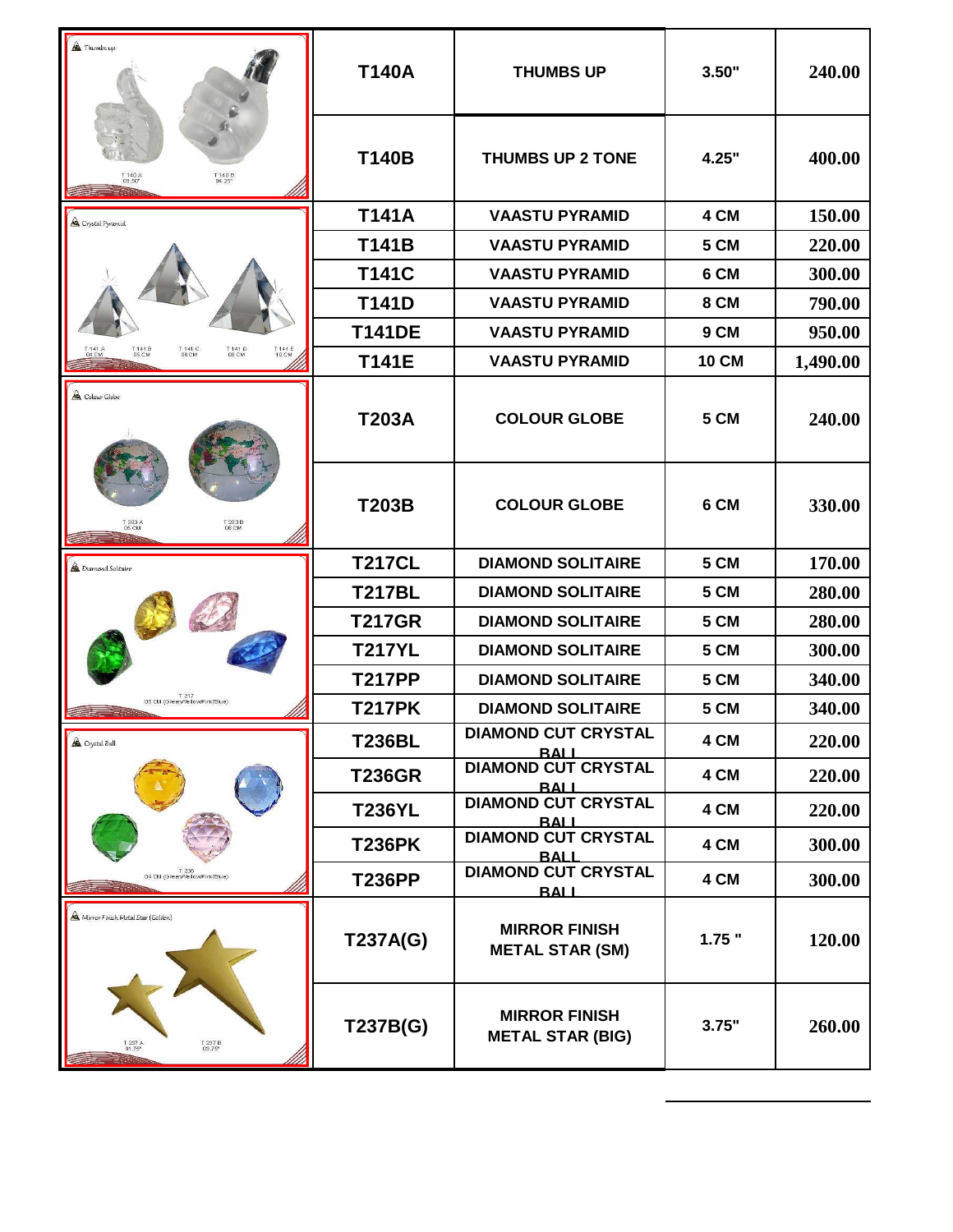| <b>A</b> Thumbsup                                                                              | <b>T140A</b>  | <b>THUMBS UP</b>                                | 3.50"        | 240.00   |
|------------------------------------------------------------------------------------------------|---------------|-------------------------------------------------|--------------|----------|
| T 140 B<br>04.25"<br>T 140 A<br>03.50"                                                         | <b>T140B</b>  | <b>THUMBS UP 2 TONE</b>                         | 4.25"        | 400.00   |
| <sup>4</sup> Crystal Pyramid                                                                   | <b>T141A</b>  | <b>VAASTU PYRAMID</b>                           | 4 CM         | 150.00   |
|                                                                                                | <b>T141B</b>  | <b>VAASTU PYRAMID</b>                           | 5 CM         | 220.00   |
|                                                                                                | <b>T141C</b>  | <b>VAASTU PYRAMID</b>                           | 6 CM         | 300.00   |
|                                                                                                | <b>T141D</b>  | <b>VAASTU PYRAMID</b>                           | 8 CM         | 790.00   |
|                                                                                                | <b>T141DE</b> | <b>VAASTU PYRAMID</b>                           | 9 CM         | 950.00   |
| T 141 D<br>08 CM<br>T141B<br>05 CM<br>T 141 C<br>06 CM<br>T 141 E<br>10 CM<br>T 141 A<br>04 CM | <b>T141E</b>  | <b>VAASTU PYRAMID</b>                           | <b>10 CM</b> | 1,490.00 |
| $\triangle$ Colour Globe                                                                       | <b>T203A</b>  | <b>COLOUR GLOBE</b>                             | 5 CM         | 240.00   |
| T 203 B<br>T 203 A                                                                             | <b>T203B</b>  | <b>COLOUR GLOBE</b>                             | 6 CM         | 330.00   |
| <b>A</b> Diamond Solitaire                                                                     | <b>T217CL</b> | <b>DIAMOND SOLITAIRE</b>                        | 5 CM         | 170.00   |
|                                                                                                | <b>T217BL</b> | <b>DIAMOND SOLITAIRE</b>                        | 5 CM         | 280.00   |
|                                                                                                | <b>T217GR</b> | <b>DIAMOND SOLITAIRE</b>                        | 5 CM         | 280.00   |
|                                                                                                | <b>T217YL</b> | <b>DIAMOND SOLITAIRE</b>                        | 5 CM         | 300.00   |
| T 217<br>(Green/Yellow/Pink/Blue) DS CM                                                        | <b>T217PP</b> | <b>DIAMOND SOLITAIRE</b>                        | 5 CM         | 340.00   |
|                                                                                                | <b>T217PK</b> | <b>DIAMOND SOLITAIRE</b>                        | 5 CM         | 340.00   |
| $\triangle$ Crystal Ball                                                                       | <b>T236BL</b> | <b>DIAMOND CUT CRYSTAL</b><br><b>BALI</b>       | 4 CM         | 220.00   |
|                                                                                                | <b>T236GR</b> | <b>DIAMOND CUT CRYSTAL</b><br><b>BALL</b>       | 4 CM         | 220.00   |
|                                                                                                | <b>T236YL</b> | <b>DIAMOND CUT CRYSTAL</b><br><b>BALL</b>       | 4 CM         | 220.00   |
|                                                                                                | <b>T236PK</b> | <b>DIAMOND CUT CRYSTAL</b><br><b>RALL</b>       | 4 CM         | 300.00   |
| T 236<br>(Green/Yellow/Pink/Blue) 04 CM                                                        | <b>T236PP</b> | <b>DIAMOND CUT CRYSTAL</b><br><b>BALL</b>       | 4 CM         | 300.00   |
| A Mirror Finish Metal Star (Golden)                                                            | T237A(G)      | <b>MIRROR FINISH</b><br><b>METAL STAR (SM)</b>  | $1.75$ "     | 120.00   |
| T 237 B<br>03.75"<br>T 237 A<br>01.75"                                                         | T237B(G)      | <b>MIRROR FINISH</b><br><b>METAL STAR (BIG)</b> | 3.75"        | 260.00   |